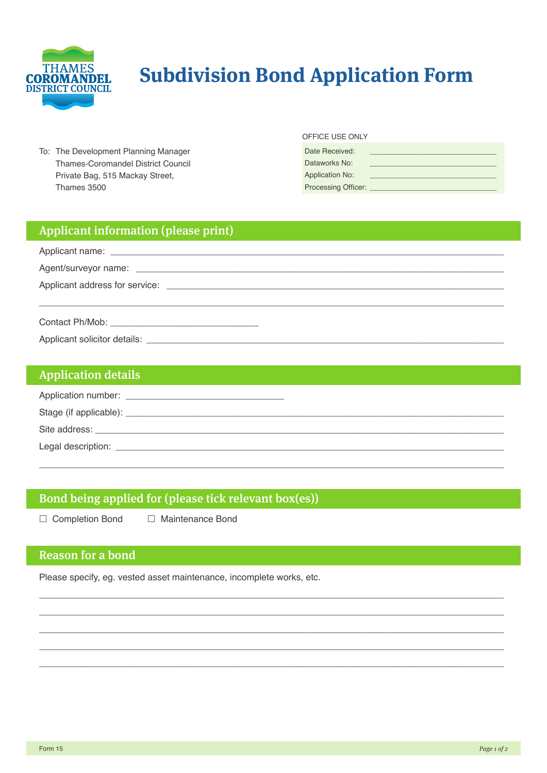

# **Subdivision Bond Application Form**

To: The Development Planning Manager Thames-Coromandel District Council Private Bag, 515 Mackay Street, Thames 3500

#### OFFICE USE ONLY

| Date Received:             |  |
|----------------------------|--|
| Dataworks No:              |  |
| <b>Application No:</b>     |  |
| <b>Processing Officer:</b> |  |

### Applicant information (please print)

#### **Application details**

| Stage (if applicable): _ |  |
|--------------------------|--|
| Site address:            |  |
| Legal description:       |  |

#### Bond being applied for (please tick relevant box(es))

□ Completion Bond □ Maintenance Bond

## **Reason for a bond**

Please specify, eg. vested asset maintenance, incomplete works, etc.